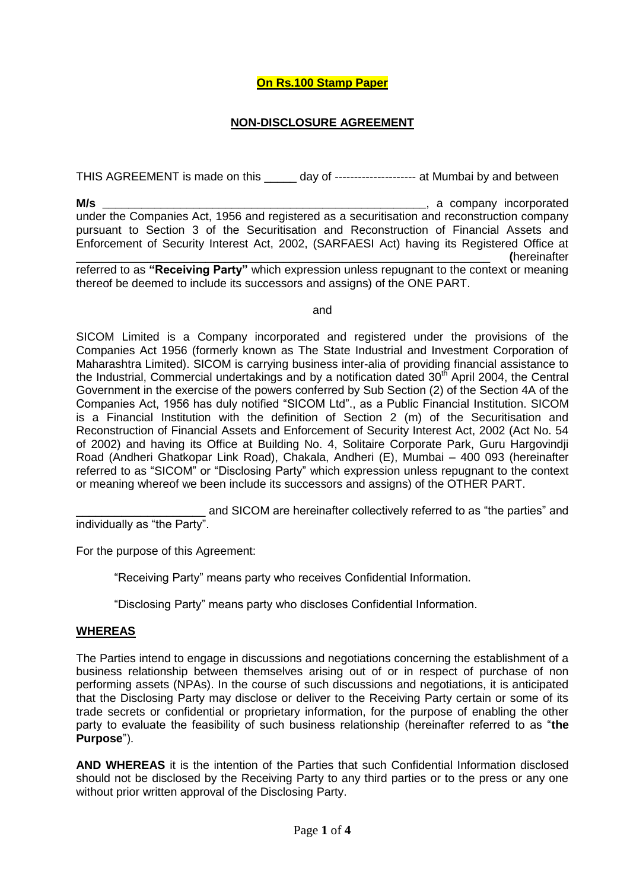# **On Rs.100 Stamp Paper**

## **NON-DISCLOSURE AGREEMENT**

THIS AGREEMENT is made on this \_\_\_\_\_\_ day of ---------------------- at Mumbai by and between

**M/s M/s** under the Companies Act, 1956 and registered as a securitisation and reconstruction company pursuant to Section 3 of the Securitisation and Reconstruction of Financial Assets and Enforcement of Security Interest Act, 2002, (SARFAESI Act) having its Registered Office at \_\_\_\_\_\_\_\_\_\_\_\_\_\_\_\_\_\_\_\_\_\_\_\_\_\_\_\_\_\_\_\_\_\_\_\_\_\_\_\_\_\_\_\_\_\_\_\_\_\_\_\_\_\_\_\_\_\_\_\_\_\_\_\_ **(**hereinafter

referred to as **"Receiving Party"** which expression unless repugnant to the context or meaning thereof be deemed to include its successors and assigns) of the ONE PART.

and

SICOM Limited is a Company incorporated and registered under the provisions of the Companies Act 1956 (formerly known as The State Industrial and Investment Corporation of Maharashtra Limited). SICOM is carrying business inter-alia of providing financial assistance to the Industrial, Commercial undertakings and by a notification dated  $30<sup>th</sup>$  April 2004, the Central Government in the exercise of the powers conferred by Sub Section (2) of the Section 4A of the Companies Act, 1956 has duly notified "SICOM Ltd"., as a Public Financial Institution. SICOM is a Financial Institution with the definition of Section 2 (m) of the Securitisation and Reconstruction of Financial Assets and Enforcement of Security Interest Act, 2002 (Act No. 54 of 2002) and having its Office at Building No. 4, Solitaire Corporate Park, Guru Hargovindji Road (Andheri Ghatkopar Link Road), Chakala, Andheri (E), Mumbai – 400 093 (hereinafter referred to as "SICOM" or "Disclosing Party" which expression unless repugnant to the context or meaning whereof we been include its successors and assigns) of the OTHER PART.

\_\_\_\_\_\_\_\_\_\_\_\_\_\_\_\_\_\_\_\_ and SICOM are hereinafter collectively referred to as "the parties" and individually as "the Party".

For the purpose of this Agreement:

"Receiving Party" means party who receives Confidential Information.

"Disclosing Party" means party who discloses Confidential Information.

#### **WHEREAS**

The Parties intend to engage in discussions and negotiations concerning the establishment of a business relationship between themselves arising out of or in respect of purchase of non performing assets (NPAs). In the course of such discussions and negotiations, it is anticipated that the Disclosing Party may disclose or deliver to the Receiving Party certain or some of its trade secrets or confidential or proprietary information, for the purpose of enabling the other party to evaluate the feasibility of such business relationship (hereinafter referred to as "**the Purpose**").

**AND WHEREAS** it is the intention of the Parties that such Confidential Information disclosed should not be disclosed by the Receiving Party to any third parties or to the press or any one without prior written approval of the Disclosing Party.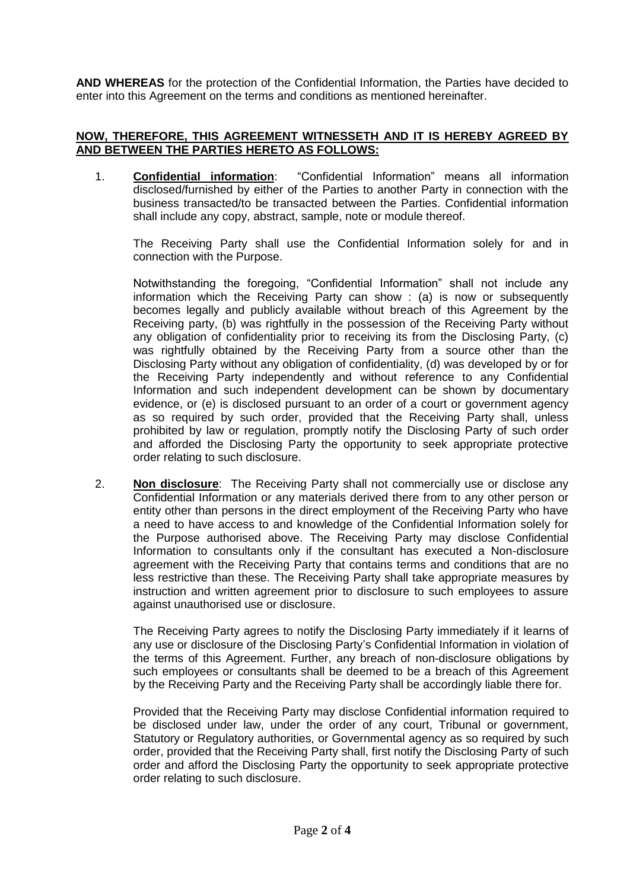**AND WHEREAS** for the protection of the Confidential Information, the Parties have decided to enter into this Agreement on the terms and conditions as mentioned hereinafter.

### **NOW, THEREFORE, THIS AGREEMENT WITNESSETH AND IT IS HEREBY AGREED BY AND BETWEEN THE PARTIES HERETO AS FOLLOWS:**

1. **Confidential information**: "Confidential Information" means all information disclosed/furnished by either of the Parties to another Party in connection with the business transacted/to be transacted between the Parties. Confidential information shall include any copy, abstract, sample, note or module thereof.

The Receiving Party shall use the Confidential Information solely for and in connection with the Purpose.

Notwithstanding the foregoing, "Confidential Information" shall not include any information which the Receiving Party can show : (a) is now or subsequently becomes legally and publicly available without breach of this Agreement by the Receiving party, (b) was rightfully in the possession of the Receiving Party without any obligation of confidentiality prior to receiving its from the Disclosing Party, (c) was rightfully obtained by the Receiving Party from a source other than the Disclosing Party without any obligation of confidentiality, (d) was developed by or for the Receiving Party independently and without reference to any Confidential Information and such independent development can be shown by documentary evidence, or (e) is disclosed pursuant to an order of a court or government agency as so required by such order, provided that the Receiving Party shall, unless prohibited by law or regulation, promptly notify the Disclosing Party of such order and afforded the Disclosing Party the opportunity to seek appropriate protective order relating to such disclosure.

2. **Non disclosure**: The Receiving Party shall not commercially use or disclose any Confidential Information or any materials derived there from to any other person or entity other than persons in the direct employment of the Receiving Party who have a need to have access to and knowledge of the Confidential Information solely for the Purpose authorised above. The Receiving Party may disclose Confidential Information to consultants only if the consultant has executed a Non-disclosure agreement with the Receiving Party that contains terms and conditions that are no less restrictive than these. The Receiving Party shall take appropriate measures by instruction and written agreement prior to disclosure to such employees to assure against unauthorised use or disclosure.

The Receiving Party agrees to notify the Disclosing Party immediately if it learns of any use or disclosure of the Disclosing Party's Confidential Information in violation of the terms of this Agreement. Further, any breach of non-disclosure obligations by such employees or consultants shall be deemed to be a breach of this Agreement by the Receiving Party and the Receiving Party shall be accordingly liable there for.

Provided that the Receiving Party may disclose Confidential information required to be disclosed under law, under the order of any court, Tribunal or government, Statutory or Regulatory authorities, or Governmental agency as so required by such order, provided that the Receiving Party shall, first notify the Disclosing Party of such order and afford the Disclosing Party the opportunity to seek appropriate protective order relating to such disclosure.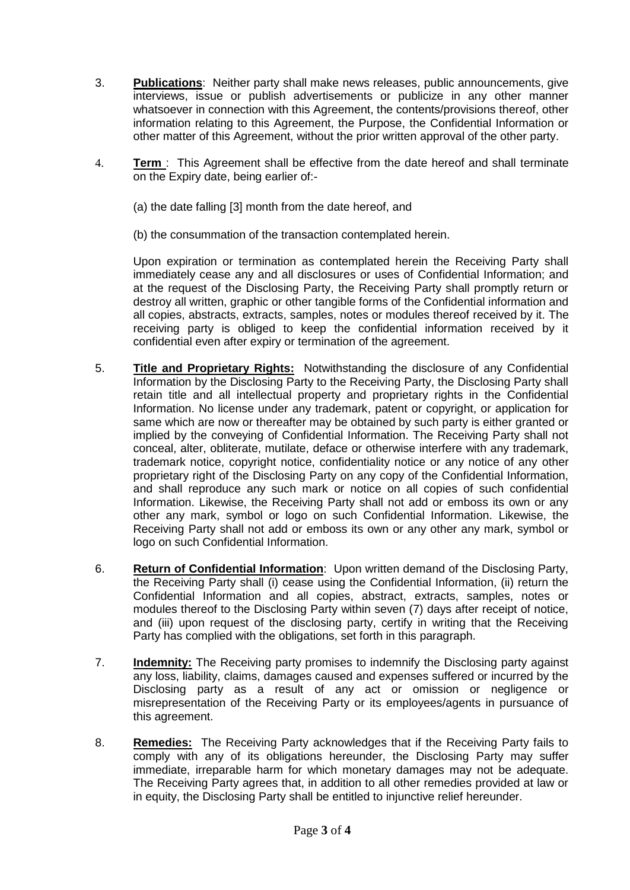- 3. **Publications**: Neither party shall make news releases, public announcements, give interviews, issue or publish advertisements or publicize in any other manner whatsoever in connection with this Agreement, the contents/provisions thereof, other information relating to this Agreement, the Purpose, the Confidential Information or other matter of this Agreement, without the prior written approval of the other party.
- 4. **Term** : This Agreement shall be effective from the date hereof and shall terminate on the Expiry date, being earlier of:-
	- (a) the date falling [3] month from the date hereof, and
	- (b) the consummation of the transaction contemplated herein.

Upon expiration or termination as contemplated herein the Receiving Party shall immediately cease any and all disclosures or uses of Confidential Information; and at the request of the Disclosing Party, the Receiving Party shall promptly return or destroy all written, graphic or other tangible forms of the Confidential information and all copies, abstracts, extracts, samples, notes or modules thereof received by it. The receiving party is obliged to keep the confidential information received by it confidential even after expiry or termination of the agreement.

- 5. **Title and Proprietary Rights:** Notwithstanding the disclosure of any Confidential Information by the Disclosing Party to the Receiving Party, the Disclosing Party shall retain title and all intellectual property and proprietary rights in the Confidential Information. No license under any trademark, patent or copyright, or application for same which are now or thereafter may be obtained by such party is either granted or implied by the conveying of Confidential Information. The Receiving Party shall not conceal, alter, obliterate, mutilate, deface or otherwise interfere with any trademark, trademark notice, copyright notice, confidentiality notice or any notice of any other proprietary right of the Disclosing Party on any copy of the Confidential Information, and shall reproduce any such mark or notice on all copies of such confidential Information. Likewise, the Receiving Party shall not add or emboss its own or any other any mark, symbol or logo on such Confidential Information. Likewise, the Receiving Party shall not add or emboss its own or any other any mark, symbol or logo on such Confidential Information.
- 6. **Return of Confidential Information**: Upon written demand of the Disclosing Party, the Receiving Party shall (i) cease using the Confidential Information, (ii) return the Confidential Information and all copies, abstract, extracts, samples, notes or modules thereof to the Disclosing Party within seven (7) days after receipt of notice, and (iii) upon request of the disclosing party, certify in writing that the Receiving Party has complied with the obligations, set forth in this paragraph.
- 7. **Indemnity:** The Receiving party promises to indemnify the Disclosing party against any loss, liability, claims, damages caused and expenses suffered or incurred by the Disclosing party as a result of any act or omission or negligence or misrepresentation of the Receiving Party or its employees/agents in pursuance of this agreement.
- 8. **Remedies:** The Receiving Party acknowledges that if the Receiving Party fails to comply with any of its obligations hereunder, the Disclosing Party may suffer immediate, irreparable harm for which monetary damages may not be adequate. The Receiving Party agrees that, in addition to all other remedies provided at law or in equity, the Disclosing Party shall be entitled to injunctive relief hereunder.